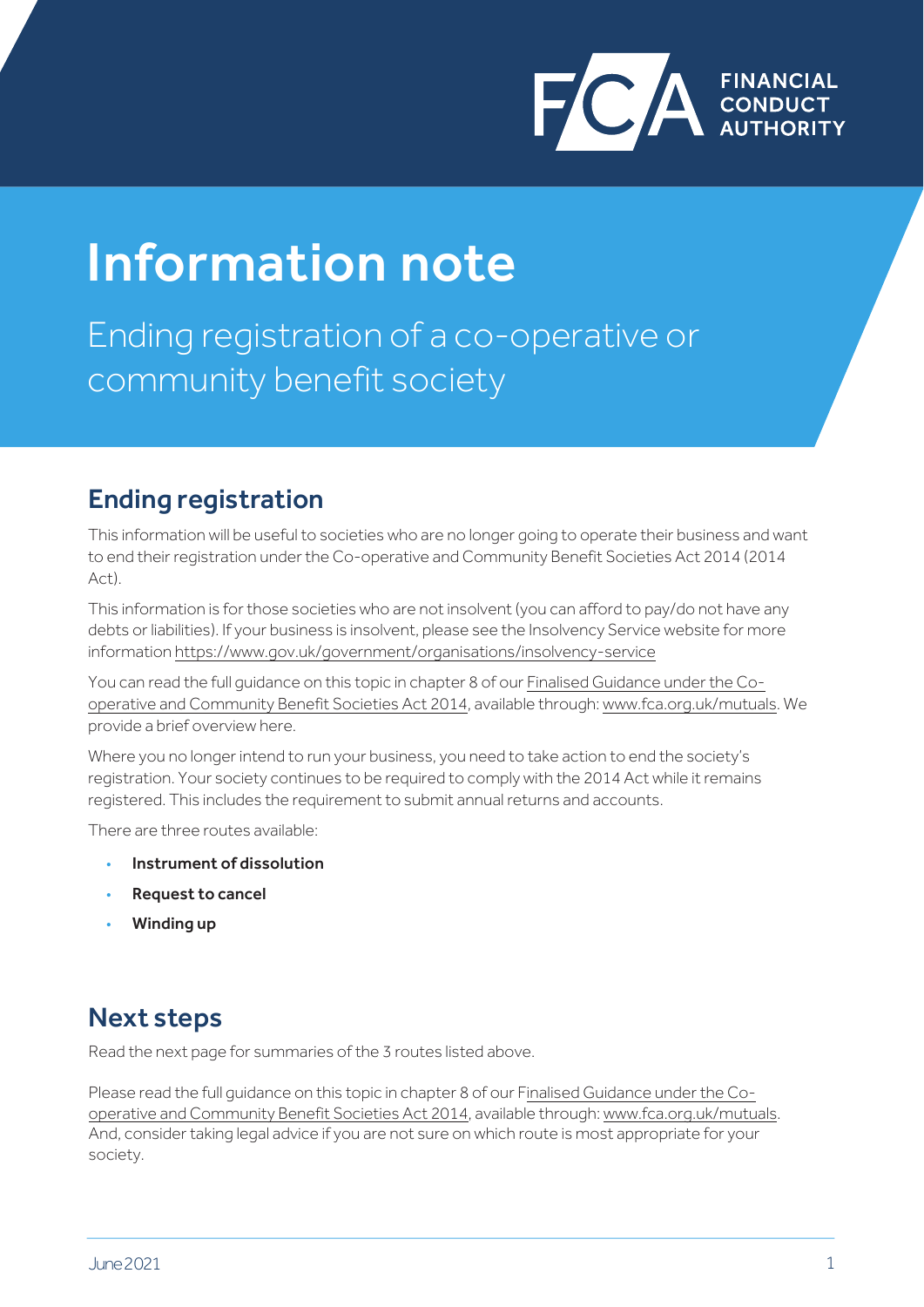

# Information note

Ending registration of a co-operative or community benefit society

#### Ending registration

This information will be useful to societies who are no longer going to operate their business and want to end their registration under the Co-operative and Community Benefit Societies Act 2014 (2014 Act).

This information is for those societies who are not insolvent (you can afford to pay/do not have any debts or liabilities). If your business is insolvent, please see the Insolvency Service website for more information <https://www.gov.uk/government/organisations/insolvency-service>

[You can read the full guidance on this topic in chapter 8 of our Finalised Guidance under the Co](https://www.fca.org.uk/publication/finalised-guidance/fg15-12.pdf)operative and Community Benefit Societies Act 2014, available through: [www.fca.org.uk/mutuals.](http://www.fca.org.uk/mutuals) We provide a brief overview here.

Where you no longer intend to run your business, you need to take action to end the society's registration. Your society continues to be required to comply with the 2014 Act while it remains registered. This includes the requirement to submit annual returns and accounts.

There are three routes available:

- Instrument of dissolution
- Request to cancel
- Winding up

#### Next steps

Read the next page for summaries of the 3 routes listed above.

[Please read the full guidance on this topic in chapter 8 of our Finalised Guidance under the Co](https://www.fca.org.uk/publication/finalised-guidance/fg15-12.pdf)operative and Community Benefit Societies Act 2014, available through: [www.fca.org.uk/mutuals.](https://www.fca.org.uk/mutuals) And, consider taking legal advice if you are not sure on which route is most appropriate for your society.